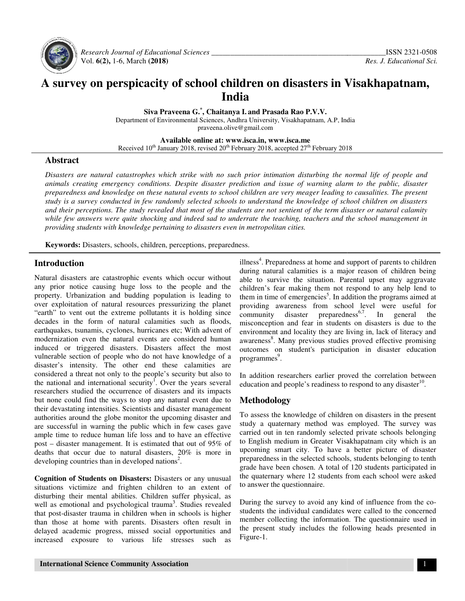

 *Research Journal of Educational Educational Sciences \_\_\_\_\_\_\_\_\_\_\_\_\_\_\_\_\_\_\_\_\_\_\_\_\_\_\_\_\_\_\_\_\_\_\_\_\_\_* Vol. **6(2),** 1-6, March **(2018)**

# **A survey on perspicacity of school children on disasters in Visakhapatnam, perspicacity of school India**

**Siva Praveena G Siva Praveena G. \* , Chaitanya I. and Prasada Rao P.V.V.** 

Department of Environmental Sciences, Andhra University, Visakhapatnam, A.P, India praveena.olive@gmail.com

**Available Available online at: www.isca.in, www.isca.me** 

Received 10<sup>th</sup> January 2018, revised 20<sup>th</sup> February 2018, accepted 27<sup>th</sup> February 2018

#### **Abstract**

Disasters are natural catastrophes which strike with no such prior intimation disturbing the normal life of people and *animals creating emergency conditions. Despite disaster prediction and issue of warning alarm alarm to the public, disaster*  preparedness and knowledge on these natural events to school children are very meager leading to causalities. The present *study is a survey conducted in few randomly randomly selected schools to understand the knowledge of school school children on disasters*  and their perceptions. The study revealed that most of the students are not sentient of the term disaster or natural calamity while few answers were quite shocking and indeed sad to underrate the teaching, teachers and the school management in providing students with knowledge pertaining to disasters even in metropolitan cities.

**Keywords:** Disasters, schools, children, perceptions, preparedness.

### **Introduction**

Natural disasters are catastrophic events which occur without any prior notice causing huge loss to the people and the property. Urbanization and budding population is leading to over exploitation of natural resources pressurizing the planet "earth" to vent out the extreme pollutants it is holding since decades in the form of natural calamities such as floods, earthquakes, tsunamis, cyclones, hurricanes etc; With advent of modernization even the natural events are considered human induced or triggered disasters. Disasters affect the most vulnerable section of people who do not have knowledge of a disaster's intensity. The other end these calamities are considered a threat not only to the people's security but also to the national and international security<sup>1</sup>. Over the years several researchers studied the occurrence of disasters and its impacts but none could find the ways to stop any natural event due to their devastating intensities. Scientists and disaster management authorities around the globe monitor the upcoming disaster and are successful in warning the public which in few cases gave ample time to reduce human life loss and to have an effective post – disaster management. It is estimated that out of 95% of deaths that occur due to natural disasters, 20% is more in developing countries than in developed nations . **Example 18 Extreme Pollutains Schools**, children, perceptions, prepared **Introduction**<br>
Natural disasters are catastrophic events which occur without<br>
any prior notice causing huge loss to the people and the<br>
property. Ur ster's intensity. The other end these calamities are idered a threat not only to the people's security but also to national and international security<sup>1</sup>. Over the years several archers studied the occurrence of disasters ities interior<br>interior interior<br>interior<br>interior contract that the control actom<br>actor or notice causing huge loss to the people and the childre<br>Urbanization and budding population is leading to them in the<br>Uotication of

**Cognition of Students on Disasters:** Disasters or any unusual situations victimize and frighten children to an extent of disturbing their mental abilities. Children suffer physical, as situations victimize and frighten children to an extent of disturbing their mental abilities. Children suffer physical, as well as emotional and psychological trauma<sup>3</sup>. Studies revealed that post-disaster trauma in children when in schools is higher than those at home with parents. Disasters often result in delayed academic progress, missed social opportunities and increased exposure to various life stresses such as illness<sup>4</sup>. Preparedness at home and support of parents to children during natural calamities is a major reason of children being able to survive the situation. Parental upset may aggravate children's fear making them not respond to any help lend to them in time of emergencies<sup>5</sup>. In additio providing awareness from school level were useful for community disaster preparedness<sup>6,7</sup>. In general the community disaster preparedness<sup>6,7</sup>. In general misconception and fear in students on disasters is due to the misconception and fear in students on disasters is due to the environment and locality they are living in, lack of literacy and awareness<sup>8</sup>. Many previous studies proved effective promising outcomes on student's participation in disaster education programmes<sup>9</sup>. Preparedness at home and support of parents to children natural calamities is a major reason of children being survive the situation. Parental upset may aggravate is if is fear making them not respond to any help lend to previous studies proved effective prom<br>dent's participation in disaster educe<br>thers earlier proved the correlation bet<br>le's readiness to respond to any disaster

In addition researchers earlier proved the correlation between education and people's readiness to respond to any disaster<sup>10</sup>.

### **Methodology**

To assess the knowledge of children on disasters in the present study a quaternary method was employed. The survey was carried out in ten randomly selected private schools belonging To assess the knowledge of children on disasters in the present study a quaternary method was employed. The survey was carried out in ten randomly selected private schools belonging to English medium in Greater Visakhapatn upcoming smart city. To have a better picture of disaster preparedness in the selected schools, students belonging to tenth grade have been chosen. A total of 120 students participated in the quaternary where 12 students from each school were asked to answer the questionnaire. oming smart city. To have a better picture of disaster paredness in the selected schools, students belonging to tenth he have been chosen. A total of 120 students participated in quaternary where 12 students from each scho

During the survey to avoid any kind of influence from the co students the individual candidates were called to the concerned member collecting the information. The questionnaire used in the present study includes the following heads presented in Figure-1. ents the individual candidates were called to the concerned<br>ober collecting the information. The questionnaire used in<br>present study includes the following heads presented in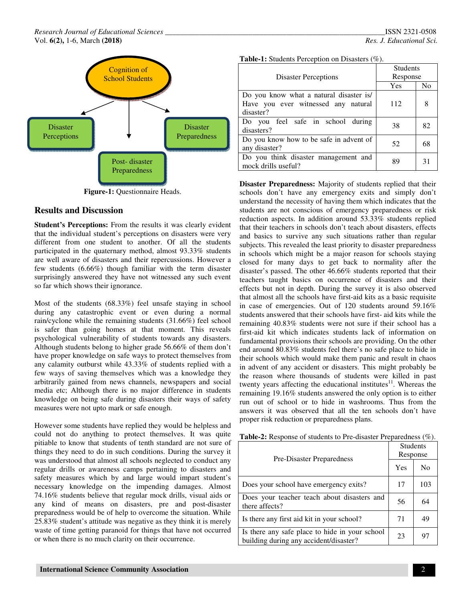

**Figure-1:** Questionnaire Heads.

#### **Results and Discussion**

**Student's Perceptions:** From the results it was clearly evident that the individual student's perceptions on disasters were very different from one student to another. Of all the students participated in the quaternary method, almost 93.33% students are well aware of disasters and their repercussions. However a few students (6.66%) though familiar with the term disaster surprisingly answered they have not witnessed any such event so far which shows their ignorance.

Most of the students (68.33%) feel unsafe staying in school during any catastrophic event or even during a normal rain/cyclone while the remaining students (31.66%) feel school is safer than going homes at that moment. This reveals psychological vulnerability of students towards any disasters. Although students belong to higher grade 56.66% of them don't have proper knowledge on safe ways to protect themselves from any calamity outburst while 43.33% of students replied with a few ways of saving themselves which was a knowledge they arbitrarily gained from news channels, newspapers and social media etc; Although there is no major difference in students knowledge on being safe during disasters their ways of safety measures were not upto mark or safe enough.

However some students have replied they would be helpless and could not do anything to protect themselves. It was quite pitiable to know that students of tenth standard are not sure of things they need to do in such conditions. During the survey it was understood that almost all schools neglected to conduct any regular drills or awareness camps pertaining to disasters and safety measures which by and large would impart student's necessary knowledge on the impending damages. Almost 74.16% students believe that regular mock drills, visual aids or any kind of means on disasters, pre and post-disaster preparedness would be of help to overcome the situation. While 25.83% student's attitude was negative as they think it is merely waste of time getting paranoid for things that have not occurred or when there is no much clarity on their occurrence.

|  | ISSN 2321-0508           |  |
|--|--------------------------|--|
|  | Res. J. Educational Sci. |  |

| Table-1: Students Perception on Disasters (%). |  |  |  |
|------------------------------------------------|--|--|--|
|------------------------------------------------|--|--|--|

|                                         | <b>Students</b> |                |
|-----------------------------------------|-----------------|----------------|
| <b>Disaster Perceptions</b>             | Response        |                |
|                                         | Yes             | N <sub>0</sub> |
| Do you know what a natural disaster is/ |                 |                |
| Have you ever witnessed any natural     | 112             | 8              |
| disaster?                               |                 |                |
| Do you feel safe in school during       | 38              | 82             |
| disasters?                              |                 |                |
| Do you know how to be safe in advent of | 52              | 68             |
| any disaster?                           |                 |                |
| Do you think disaster management and    | 89              | 31             |
| mock drills useful?                     |                 |                |

**Disaster Preparedness:** Majority of students replied that their schools don't have any emergency exits and simply don't understand the necessity of having them which indicates that the students are not conscious of emergency preparedness or risk reduction aspects. In addition around 53.33% students replied that their teachers in schools don't teach about disasters, effects and basics to survive any such situations rather than regular subjects. This revealed the least priority to disaster preparedness in schools which might be a major reason for schools staying closed for many days to get back to normality after the disaster's passed. The other 46.66% students reported that their teachers taught basics on occurrence of disasters and their effects but not in depth. During the survey it is also observed that almost all the schools have first-aid kits as a basic requisite in case of emergencies. Out of 120 students around 59.16% students answered that their schools have first- aid kits while the remaining 40.83% students were not sure if their school has a first-aid kit which indicates students lack of information on fundamental provisions their schools are providing. On the other end around 80.83% students feel there's no safe place to hide in their schools which would make them panic and result in chaos in advent of any accident or disasters. This might probably be the reason where thousands of students were killed in past twenty years affecting the educational institutes $11$ . Whereas the remaining 19.16% students answered the only option is to either run out of school or to hide in washrooms. Thus from the answers it was observed that all the ten schools don't have proper risk reduction or preparedness plans.

| Pre-Disaster Preparedness                                                                |    | <b>Students</b><br>Response |  |
|------------------------------------------------------------------------------------------|----|-----------------------------|--|
|                                                                                          |    | N <sub>0</sub>              |  |
| Does your school have emergency exits?                                                   | 17 | 103                         |  |
| Does your teacher teach about disasters and<br>there affects?                            | 56 | 64                          |  |
| Is there any first aid kit in your school?                                               | 71 | 49                          |  |
| Is there any safe place to hide in your school<br>building during any accident/disaster? | 23 | 97                          |  |

**Table-2:** Response of students to Pre-disaster Preparedness (%).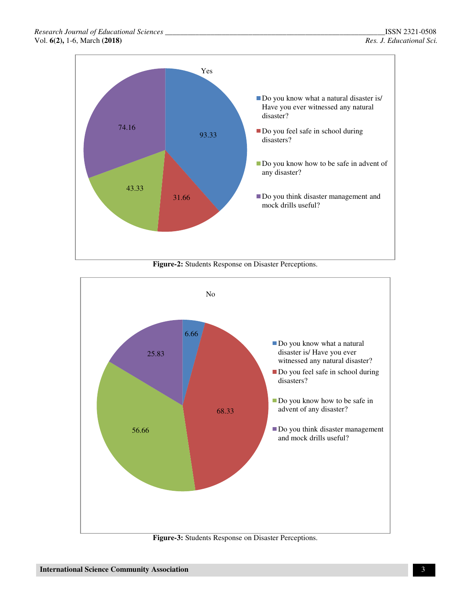

**Figure-2:** Students Response on Disaster Perceptions.



**Figure-3:** Students Response on Disaster Perceptions.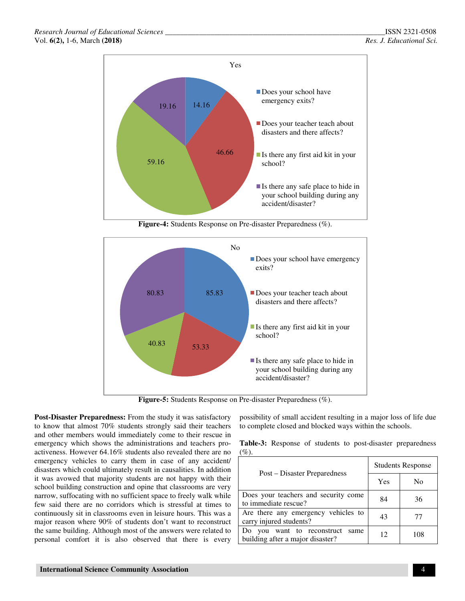

**Figure-4:** Students Response on Pre-disaster Preparedness (%).



**Figure-5:** Students Response on Pre-disaster Preparedness (%).

**Post-Disaster Preparedness:** From the study it was satisfactory to know that almost 70% students strongly said their teachers and other members would immediately come to their rescue in emergency which shows the administrations and teachers proactiveness. However 64.16% students also revealed there are no emergency vehicles to carry them in case of any accident/ disasters which could ultimately result in causalities. In addition it was avowed that majority students are not happy with their school building construction and opine that classrooms are very narrow, suffocating with no sufficient space to freely walk while few said there are no corridors which is stressful at times to continuously sit in classrooms even in leisure hours. This was a major reason where 90% of students don't want to reconstruct the same building. Although most of the answers were related to personal comfort it is also observed that there is every

possibility of small accident resulting in a major loss of life due to complete closed and blocked ways within the schools.

**Table-3:** Response of students to post-disaster preparedness  $(%).$ 

|                                                                              | <b>Students Response</b> |     |  |
|------------------------------------------------------------------------------|--------------------------|-----|--|
| Post – Disaster Preparedness                                                 | Yes                      | No  |  |
| Does your teachers and security come<br>to immediate rescue?                 | 84                       | 36  |  |
| Are there any emergency vehicles to<br>carry injured students?               | 43                       | 77  |  |
| Do<br>want to reconstruct<br>you<br>same<br>building after a major disaster? | 12                       | 108 |  |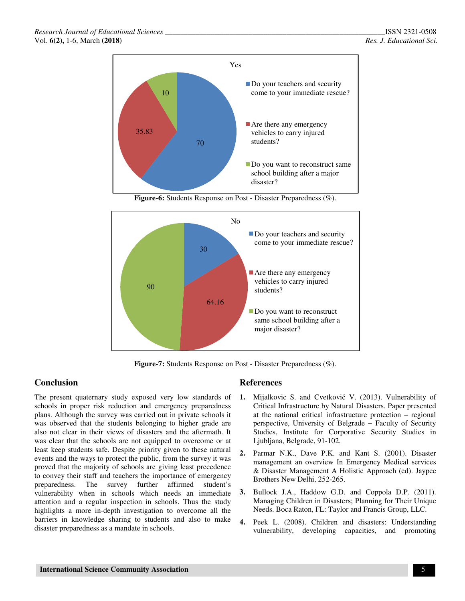

**Figure-6:** Students Response on Post - Disaster Preparedness (%).



**Figure-7:** Students Response on Post - Disaster Preparedness (%).

## **Conclusion**

The present quaternary study exposed very low standards of schools in proper risk reduction and emergency preparedness plans. Although the survey was carried out in private schools it was observed that the students belonging to higher grade are also not clear in their views of disasters and the aftermath. It was clear that the schools are not equipped to overcome or at least keep students safe. Despite priority given to these natural events and the ways to protect the public, from the survey it was proved that the majority of schools are giving least precedence to convey their staff and teachers the importance of emergency preparedness. The survey further affirmed student's vulnerability when in schools which needs an immediate attention and a regular inspection in schools. Thus the study highlights a more in-depth investigation to overcome all the barriers in knowledge sharing to students and also to make disaster preparedness as a mandate in schools.

## **References**

- **1.** Mijalkovic S. and Cvetković V. (2013). Vulnerability of Critical Infrastructure by Natural Disasters. Paper presented at the national critical infrastructure protection – regional perspective, University of Belgrade − Faculty of Security Studies, Institute for Corporative Security Studies in Ljubljana, Belgrade, 91-102.
- **2.** Parmar N.K., Dave P.K. and Kant S. (2001). Disaster management an overview In Emergency Medical services & Disaster Management A Holistic Approach (ed). Jaypee Brothers New Delhi, 252-265.
- **3.** Bullock J.A., Haddow G.D. and Coppola D.P. (2011). Managing Children in Disasters; Planning for Their Unique Needs. Boca Raton, FL: Taylor and Francis Group, LLC.
- **4.** Peek L. (2008). Children and disasters: Understanding vulnerability, developing capacities, and promoting